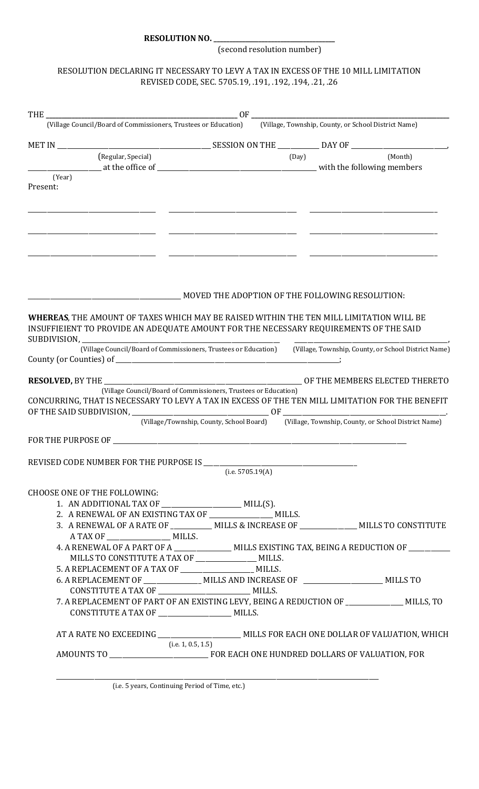**RESOLUTION NO. \_\_\_\_\_\_\_\_\_\_\_\_\_\_\_\_\_\_\_\_\_\_\_\_\_\_\_\_\_\_\_\_\_\_\_\_\_\_** 

(second resolution number)

## RESOLUTION DECLARING IT NECESSARY TO LEVY A TAX IN EXCESS OF THE 10 MILL LIMITATION REVISED CODE, SEC. 5705.19, .191, .192, .194, .21, .26

| (Village Council/Board of Commissioners, Trustees or Education) (Village, Township, County, or School District Name) |                                                                                               |       |         |
|----------------------------------------------------------------------------------------------------------------------|-----------------------------------------------------------------------------------------------|-------|---------|
|                                                                                                                      |                                                                                               |       |         |
| (Regular, Special)                                                                                                   |                                                                                               | (Day) | (Month) |
|                                                                                                                      |                                                                                               |       |         |
| (Year)                                                                                                               |                                                                                               |       |         |
| Present:                                                                                                             |                                                                                               |       |         |
|                                                                                                                      |                                                                                               |       |         |
|                                                                                                                      |                                                                                               |       |         |
|                                                                                                                      |                                                                                               |       |         |
|                                                                                                                      |                                                                                               |       |         |
|                                                                                                                      |                                                                                               |       |         |
|                                                                                                                      |                                                                                               |       |         |
|                                                                                                                      |                                                                                               |       |         |
|                                                                                                                      |                                                                                               |       |         |
|                                                                                                                      | MOVED THE ADOPTION OF THE FOLLOWING RESOLUTION:                                               |       |         |
|                                                                                                                      |                                                                                               |       |         |
| <b>WHEREAS, THE AMOUNT OF TAXES WHICH MAY BE RAISED WITHIN THE TEN MILL LIMITATION WILL BE</b>                       |                                                                                               |       |         |
| INSUFFIEIENT TO PROVIDE AN ADEQUATE AMOUNT FOR THE NECESSARY REQUIREMENTS OF THE SAID                                |                                                                                               |       |         |
|                                                                                                                      |                                                                                               |       |         |
| (Village Council/Board of Commissioners, Trustees or Education) (Village, Township, County, or School District Name) |                                                                                               |       |         |
|                                                                                                                      |                                                                                               |       |         |
|                                                                                                                      |                                                                                               |       |         |
|                                                                                                                      |                                                                                               |       |         |
| CONCURRING, THAT IS NECESSARY TO LEVY A TAX IN EXCESS OF THE TEN MILL LIMITATION FOR THE BENEFIT                     | (Village Council/Board of Commissioners, Trustees or Education)                               |       |         |
|                                                                                                                      |                                                                                               |       |         |
|                                                                                                                      | (Village/Township, County, School Board) (Village, Township, County, or School District Name) |       |         |
|                                                                                                                      |                                                                                               |       |         |
|                                                                                                                      |                                                                                               |       |         |
|                                                                                                                      |                                                                                               |       |         |
| REVISED CODE NUMBER FOR THE PURPOSE IS                                                                               |                                                                                               |       |         |
|                                                                                                                      | (i.e. 5705.19(A)                                                                              |       |         |
| <b>CHOOSE ONE OF THE FOLLOWING:</b>                                                                                  |                                                                                               |       |         |
|                                                                                                                      |                                                                                               |       |         |
| 1. AN ADDITIONAL TAX OF ________________________ MILL(S).<br>2. A RENEWAL OF AN EXISTING TAX OF MILLS.               |                                                                                               |       |         |
| 3. A RENEWAL OF A RATE OF ___________ MILLS & INCREASE OF ______________ MILLS TO CONSTITUTE                         |                                                                                               |       |         |
|                                                                                                                      |                                                                                               |       |         |
| 4. A RENEWAL OF A PART OF A ______________ MILLS EXISTING TAX, BEING A REDUCTION OF _______                          |                                                                                               |       |         |
| MILLS TO CONSTITUTE A TAX OF _______________ MILLS.                                                                  |                                                                                               |       |         |
| 5. A REPLACEMENT OF A TAX OF __________________________ MILLS.                                                       |                                                                                               |       |         |
| 6. A REPLACEMENT OF ________________ MILLS AND INCREASE OF ___________________ MILLS TO                              |                                                                                               |       |         |
|                                                                                                                      |                                                                                               |       |         |
| 7. A REPLACEMENT OF PART OF AN EXISTING LEVY, BEING A REDUCTION OF _____________ MILLS, TO                           |                                                                                               |       |         |
| CONSTITUTE A TAX OF _______________________ MILLS.                                                                   |                                                                                               |       |         |
|                                                                                                                      |                                                                                               |       |         |
| AT A RATE NO EXCEEDING ________________________ MILLS FOR EACH ONE DOLLAR OF VALUATION, WHICH                        |                                                                                               |       |         |
|                                                                                                                      | (i.e. 1, 0.5, 1.5)                                                                            |       |         |
|                                                                                                                      |                                                                                               |       |         |
|                                                                                                                      |                                                                                               |       |         |
|                                                                                                                      |                                                                                               |       |         |

(i.e. 5 years, Continuing Period of Time, etc.)